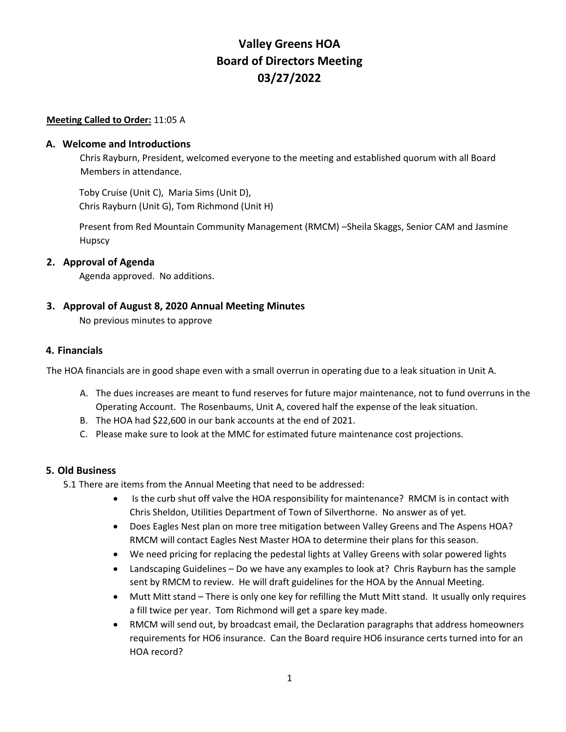# **Valley Greens HOA Board of Directors Meeting 03/27/2022**

#### **Meeting Called to Order:** 11:05 A

### **A. Welcome and Introductions**

Chris Rayburn, President, welcomed everyone to the meeting and established quorum with all Board Members in attendance.

Toby Cruise (Unit C), Maria Sims (Unit D), Chris Rayburn (Unit G), Tom Richmond (Unit H)

Present from Red Mountain Community Management (RMCM) –Sheila Skaggs, Senior CAM and Jasmine Hupscy

### **2. Approval of Agenda**

Agenda approved. No additions.

**3. Approval of August 8, 2020 Annual Meeting Minutes**

No previous minutes to approve

#### **4. Financials**

The HOA financials are in good shape even with a small overrun in operating due to a leak situation in Unit A.

- A. The dues increases are meant to fund reserves for future major maintenance, not to fund overruns in the Operating Account. The Rosenbaums, Unit A, covered half the expense of the leak situation.
- B. The HOA had \$22,600 in our bank accounts at the end of 2021.
- C. Please make sure to look at the MMC for estimated future maintenance cost projections.

### **5. Old Business**

5.1 There are items from the Annual Meeting that need to be addressed:

- Is the curb shut off valve the HOA responsibility for maintenance? RMCM is in contact with Chris Sheldon, Utilities Department of Town of Silverthorne. No answer as of yet.
- Does Eagles Nest plan on more tree mitigation between Valley Greens and The Aspens HOA? RMCM will contact Eagles Nest Master HOA to determine their plans for this season.
- We need pricing for replacing the pedestal lights at Valley Greens with solar powered lights
- Landscaping Guidelines Do we have any examples to look at? Chris Rayburn has the sample sent by RMCM to review. He will draft guidelines for the HOA by the Annual Meeting.
- Mutt Mitt stand There is only one key for refilling the Mutt Mitt stand. It usually only requires a fill twice per year. Tom Richmond will get a spare key made.
- RMCM will send out, by broadcast email, the Declaration paragraphs that address homeowners requirements for HO6 insurance. Can the Board require HO6 insurance certs turned into for an HOA record?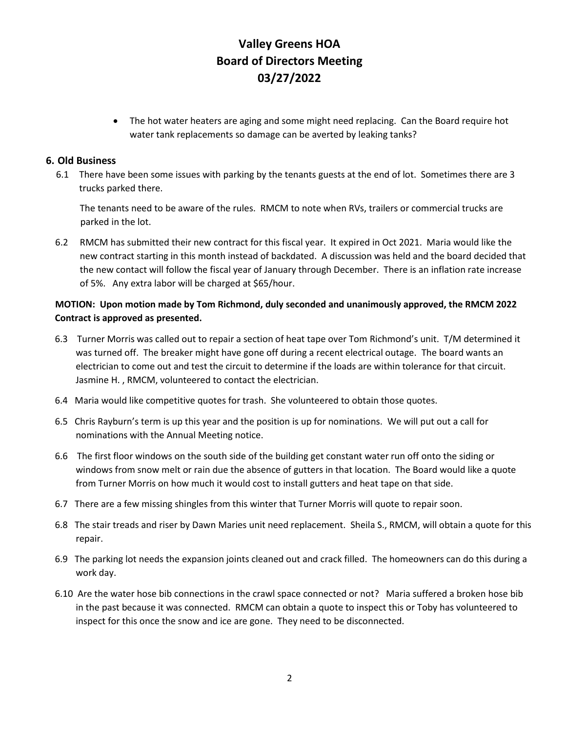# **Valley Greens HOA Board of Directors Meeting 03/27/2022**

• The hot water heaters are aging and some might need replacing. Can the Board require hot water tank replacements so damage can be averted by leaking tanks?

## **6. Old Business**

6.1 There have been some issues with parking by the tenants guests at the end of lot. Sometimes there are 3 trucks parked there.

The tenants need to be aware of the rules. RMCM to note when RVs, trailers or commercial trucks are parked in the lot.

6.2 RMCM has submitted their new contract for this fiscal year. It expired in Oct 2021. Maria would like the new contract starting in this month instead of backdated. A discussion was held and the board decided that the new contact will follow the fiscal year of January through December. There is an inflation rate increase of 5%. Any extra labor will be charged at \$65/hour.

## **MOTION: Upon motion made by Tom Richmond, duly seconded and unanimously approved, the RMCM 2022 Contract is approved as presented.**

- 6.3 Turner Morris was called out to repair a section of heat tape over Tom Richmond's unit. T/M determined it was turned off. The breaker might have gone off during a recent electrical outage. The board wants an electrician to come out and test the circuit to determine if the loads are within tolerance for that circuit. Jasmine H. , RMCM, volunteered to contact the electrician.
- 6.4 Maria would like competitive quotes for trash. She volunteered to obtain those quotes.
- 6.5 Chris Rayburn's term is up this year and the position is up for nominations. We will put out a call for nominations with the Annual Meeting notice.
- 6.6 The first floor windows on the south side of the building get constant water run off onto the siding or windows from snow melt or rain due the absence of gutters in that location. The Board would like a quote from Turner Morris on how much it would cost to install gutters and heat tape on that side.
- 6.7 There are a few missing shingles from this winter that Turner Morris will quote to repair soon.
- 6.8 The stair treads and riser by Dawn Maries unit need replacement. Sheila S., RMCM, will obtain a quote for this repair.
- 6.9 The parking lot needs the expansion joints cleaned out and crack filled. The homeowners can do this during a work day.
- 6.10 Are the water hose bib connections in the crawl space connected or not? Maria suffered a broken hose bib in the past because it was connected. RMCM can obtain a quote to inspect this or Toby has volunteered to inspect for this once the snow and ice are gone. They need to be disconnected.